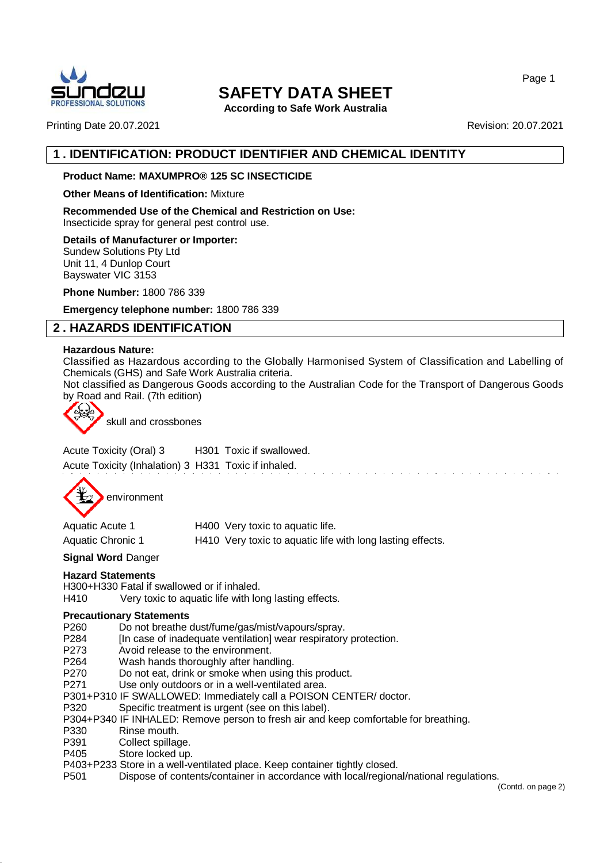

**According to Safe Work Australia**

Printing Date 20.07.2021 **Revision: 20.07.2021** Revision: 20.07.2021

# **1 . IDENTIFICATION: PRODUCT IDENTIFIER AND CHEMICAL IDENTITY**

## **Product Name: MAXUMPRO® 125 SC INSECTICIDE**

#### **Other Means of Identification:** Mixture

**Recommended Use of the Chemical and Restriction on Use:** Insecticide spray for general pest control use.

**Details of Manufacturer or Importer:** Sundew Solutions Pty Ltd

Unit 11, 4 Dunlop Court Bayswater VIC 3153

**Phone Number:** 1800 786 339

**Emergency telephone number:** 1800 786 339

# **2 . HAZARDS IDENTIFICATION**

#### **Hazardous Nature:**

Classified as Hazardous according to the Globally Harmonised System of Classification and Labelling of Chemicals (GHS) and Safe Work Australia criteria.

Not classified as Dangerous Goods according to the Australian Code for the Transport of Dangerous Goods by Road and Rail. (7th edition)



skull and crossbones

Acute Toxicity (Oral) 3 H301 Toxic if swallowed. Acute Toxicity (Inhalation) 3 H331 Toxic if inhaled.



Aquatic Acute 1 H400 Very toxic to aquatic life. Aquatic Chronic 1 H410 Very toxic to aquatic life with long lasting effects.

#### **Signal Word** Danger

#### **Hazard Statements**

H300+H330 Fatal if swallowed or if inhaled.

H410 Very toxic to aquatic life with long lasting effects.

#### **Precautionary Statements**

- P260 Do not breathe dust/fume/gas/mist/vapours/spray.
- P284 [In case of inadequate ventilation] wear respiratory protection.
- P273 Avoid release to the environment.
- P264 Wash hands thoroughly after handling.
- P270 Do not eat, drink or smoke when using this product.
- P271 Use only outdoors or in a well-ventilated area.
- P301+P310 IF SWALLOWED: Immediately call a POISON CENTER/ doctor.
- P320 Specific treatment is urgent (see on this label).
- P304+P340 IF INHALED: Remove person to fresh air and keep comfortable for breathing.
- P330 Rinse mouth.
- P391 Collect spillage.
- P405 Store locked up.
- P403+P233 Store in a well-ventilated place. Keep container tightly closed.
- P501 Dispose of contents/container in accordance with local/regional/national regulations.

(Contd. on page 2)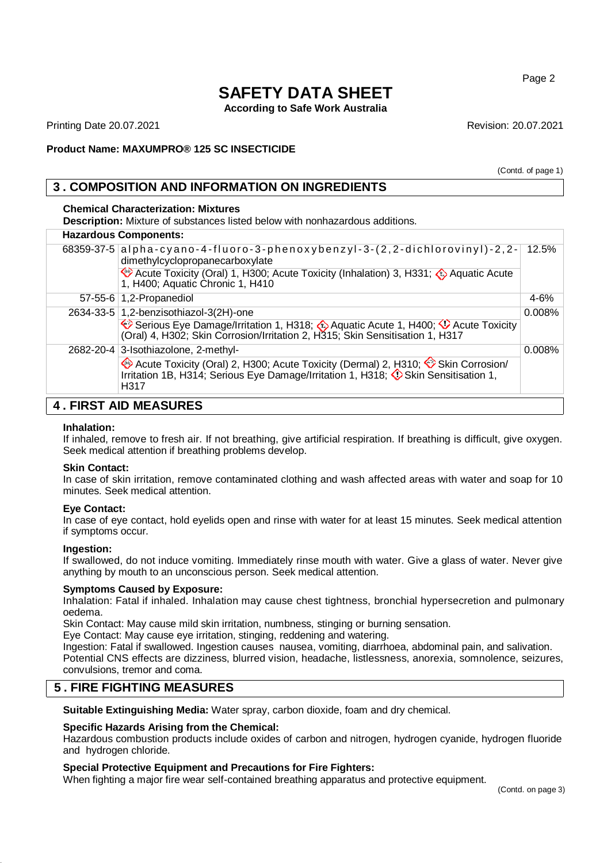**According to Safe Work Australia**

Printing Date 20.07.2021 **Revision: 20.07.2021** Revision: 20.07.2021

(Contd. of page 1)

## **Product Name: MAXUMPRO® 125 SC INSECTICIDE**

# **3 . COMPOSITION AND INFORMATION ON INGREDIENTS**

#### **Chemical Characterization: Mixtures**

**Description:** Mixture of substances listed below with nonhazardous additions.

#### **Hazardous Components:**

|  | $68359-37-5$ alpha-cyano-4-fluoro-3-phenoxybenzyl-3-(2,2-dichlorovinyl)-2,2-<br>dimethylcyclopropanecarboxylate                                                                | 12.5%    |
|--|--------------------------------------------------------------------------------------------------------------------------------------------------------------------------------|----------|
|  | Acute Toxicity (Oral) 1, H300; Acute Toxicity (Inhalation) 3, H331; A Aquatic Acute<br>1, H400; Aquatic Chronic 1, H410                                                        |          |
|  | 57-55-6 1,2-Propanediol                                                                                                                                                        | $4 - 6%$ |
|  | 2634-33-5 1,2-benzisothiazol-3(2H)-one                                                                                                                                         | 0.008%   |
|  | Serious Eye Damage/Irritation 1, H318; 4 Aquatic Acute 1, H400; 4 Acute Toxicity<br>(Oral) 4, H302; Skin Corrosion/Irritation 2, H315; Skin Sensitisation 1, H317              |          |
|  | 2682-20-4 3-Isothiazolone, 2-methyl-                                                                                                                                           | 0.008%   |
|  | Acute Toxicity (Oral) 2, H300; Acute Toxicity (Dermal) 2, H310; Skin Corrosion/<br>Irritation 1B, H314; Serious Eye Damage/Irritation 1, H318; O Skin Sensitisation 1,<br>H317 |          |
|  |                                                                                                                                                                                |          |

## **4 . FIRST AID MEASURES**

#### **Inhalation:**

If inhaled, remove to fresh air. If not breathing, give artificial respiration. If breathing is difficult, give oxygen. Seek medical attention if breathing problems develop.

#### **Skin Contact:**

In case of skin irritation, remove contaminated clothing and wash affected areas with water and soap for 10 minutes. Seek medical attention.

#### **Eye Contact:**

In case of eye contact, hold eyelids open and rinse with water for at least 15 minutes. Seek medical attention if symptoms occur.

#### **Ingestion:**

If swallowed, do not induce vomiting. Immediately rinse mouth with water. Give a glass of water. Never give anything by mouth to an unconscious person. Seek medical attention.

#### **Symptoms Caused by Exposure:**

Inhalation: Fatal if inhaled. Inhalation may cause chest tightness, bronchial hypersecretion and pulmonary oedema.

Skin Contact: May cause mild skin irritation, numbness, stinging or burning sensation.

Eye Contact: May cause eye irritation, stinging, reddening and watering.

Ingestion: Fatal if swallowed. Ingestion causes nausea, vomiting, diarrhoea, abdominal pain, and salivation. Potential CNS effects are dizziness, blurred vision, headache, listlessness, anorexia, somnolence, seizures, convulsions, tremor and coma.

## **5 . FIRE FIGHTING MEASURES**

**Suitable Extinguishing Media:** Water spray, carbon dioxide, foam and dry chemical.

#### **Specific Hazards Arising from the Chemical:**

Hazardous combustion products include oxides of carbon and nitrogen, hydrogen cyanide, hydrogen fluoride and hydrogen chloride.

#### **Special Protective Equipment and Precautions for Fire Fighters:**

When fighting a major fire wear self-contained breathing apparatus and protective equipment.

Page 2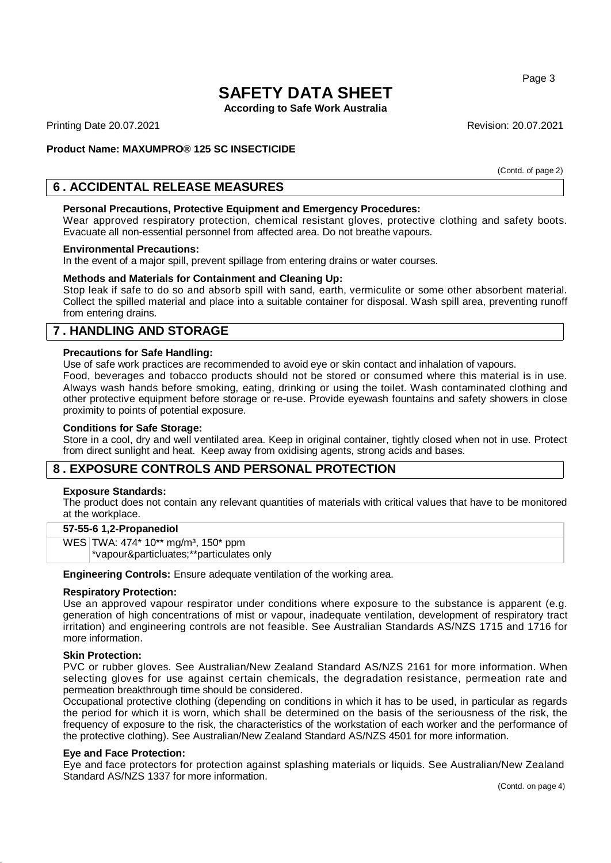**According to Safe Work Australia**

Printing Date 20.07.2021 **Revision: 20.07.2021** Revision: 20.07.2021

## **Product Name: MAXUMPRO® 125 SC INSECTICIDE**

(Contd. of page 2)

## **6 . ACCIDENTAL RELEASE MEASURES**

#### **Personal Precautions, Protective Equipment and Emergency Procedures:**

Wear approved respiratory protection, chemical resistant gloves, protective clothing and safety boots. Evacuate all non-essential personnel from affected area. Do not breathe vapours.

#### **Environmental Precautions:**

In the event of a major spill, prevent spillage from entering drains or water courses.

#### **Methods and Materials for Containment and Cleaning Up:**

Stop leak if safe to do so and absorb spill with sand, earth, vermiculite or some other absorbent material. Collect the spilled material and place into a suitable container for disposal. Wash spill area, preventing runoff from entering drains.

## **7 . HANDLING AND STORAGE**

#### **Precautions for Safe Handling:**

Use of safe work practices are recommended to avoid eye or skin contact and inhalation of vapours.

Food, beverages and tobacco products should not be stored or consumed where this material is in use. Always wash hands before smoking, eating, drinking or using the toilet. Wash contaminated clothing and other protective equipment before storage or re-use. Provide eyewash fountains and safety showers in close proximity to points of potential exposure.

#### **Conditions for Safe Storage:**

Store in a cool, dry and well ventilated area. Keep in original container, tightly closed when not in use. Protect from direct sunlight and heat. Keep away from oxidising agents, strong acids and bases.

## **8 . EXPOSURE CONTROLS AND PERSONAL PROTECTION**

#### **Exposure Standards:**

The product does not contain any relevant quantities of materials with critical values that have to be monitored at the workplace.

#### **57-55-6 1,2-Propanediol**

WES TWA: 474\* 10\*\* mg/m<sup>3</sup>, 150\* ppm \*vapour&particluates;\*\*particulates only

**Engineering Controls:** Ensure adequate ventilation of the working area.

#### **Respiratory Protection:**

Use an approved vapour respirator under conditions where exposure to the substance is apparent (e.g. generation of high concentrations of mist or vapour, inadequate ventilation, development of respiratory tract irritation) and engineering controls are not feasible. See Australian Standards AS/NZS 1715 and 1716 for more information.

#### **Skin Protection:**

PVC or rubber gloves. See Australian/New Zealand Standard AS/NZS 2161 for more information. When selecting gloves for use against certain chemicals, the degradation resistance, permeation rate and permeation breakthrough time should be considered.

Occupational protective clothing (depending on conditions in which it has to be used, in particular as regards the period for which it is worn, which shall be determined on the basis of the seriousness of the risk, the frequency of exposure to the risk, the characteristics of the workstation of each worker and the performance of the protective clothing). See Australian/New Zealand Standard AS/NZS 4501 for more information.

#### **Eye and Face Protection:**

Eye and face protectors for protection against splashing materials or liquids. See Australian/New Zealand Standard AS/NZS 1337 for more information.

Page 3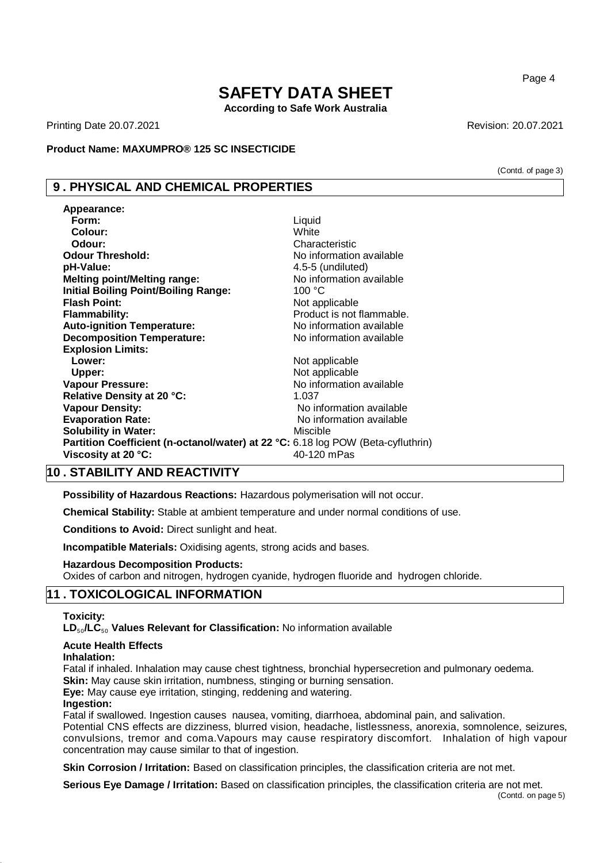# **SAFETY DATA SHEET According to Safe Work Australia**

Printing Date 20.07.2021 **Revision: 20.07.2021** Revision: 20.07.2021

#### **Product Name: MAXUMPRO® 125 SC INSECTICIDE**

## **9 . PHYSICAL AND CHEMICAL PROPERTIES**

| Appearance:                                                                      |                           |
|----------------------------------------------------------------------------------|---------------------------|
| Form:                                                                            | Liquid                    |
| Colour:                                                                          | White                     |
| Odour:                                                                           | Characteristic            |
| <b>Odour Threshold:</b>                                                          | No information available  |
| pH-Value:                                                                        | 4.5-5 (undiluted)         |
| <b>Melting point/Melting range:</b>                                              | No information available  |
| <b>Initial Boiling Point/Boiling Range:</b>                                      | 100 °C                    |
| <b>Flash Point:</b>                                                              | Not applicable            |
| <b>Flammability:</b>                                                             | Product is not flammable. |
| <b>Auto-ignition Temperature:</b>                                                | No information available  |
| <b>Decomposition Temperature:</b>                                                | No information available  |
| <b>Explosion Limits:</b>                                                         |                           |
| Lower:                                                                           | Not applicable            |
| Upper:                                                                           | Not applicable            |
| <b>Vapour Pressure:</b>                                                          | No information available  |
| Relative Density at 20 °C:                                                       | 1.037                     |
| <b>Vapour Density:</b>                                                           | No information available  |
| <b>Evaporation Rate:</b>                                                         | No information available  |
| <b>Solubility in Water:</b>                                                      | Miscible                  |
| Partition Coefficient (n-octanol/water) at 22 °C: 6.18 log POW (Beta-cyfluthrin) |                           |
| Viscosity at 20 °C:                                                              | 40-120 mPas               |

## **10 . STABILITY AND REACTIVITY**

**Possibility of Hazardous Reactions:** Hazardous polymerisation will not occur.

**Chemical Stability:** Stable at ambient temperature and under normal conditions of use.

**Conditions to Avoid:** Direct sunlight and heat.

**Incompatible Materials:** Oxidising agents, strong acids and bases.

#### **Hazardous Decomposition Products:**

Oxides of carbon and nitrogen, hydrogen cyanide, hydrogen fluoride and hydrogen chloride.

## **11 . TOXICOLOGICAL INFORMATION**

#### **Toxicity:**

**LD**₅₀**/LC**₅₀ **Values Relevant for Classification:** No information available

## **Acute Health Effects**

### **Inhalation:**

Fatal if inhaled. Inhalation may cause chest tightness, bronchial hypersecretion and pulmonary oedema. **Skin:** May cause skin irritation, numbness, stinging or burning sensation.

**Eye:** May cause eye irritation, stinging, reddening and watering.

#### **Ingestion:**

Fatal if swallowed. Ingestion causes nausea, vomiting, diarrhoea, abdominal pain, and salivation. Potential CNS effects are dizziness, blurred vision, headache, listlessness, anorexia, somnolence, seizures, convulsions, tremor and coma.Vapours may cause respiratory discomfort. Inhalation of high vapour concentration may cause similar to that of ingestion.

**Skin Corrosion / Irritation:** Based on classification principles, the classification criteria are not met.

**Serious Eye Damage / Irritation:** Based on classification principles, the classification criteria are not met. (Contd. on page 5)

Page 4

(Contd. of page 3)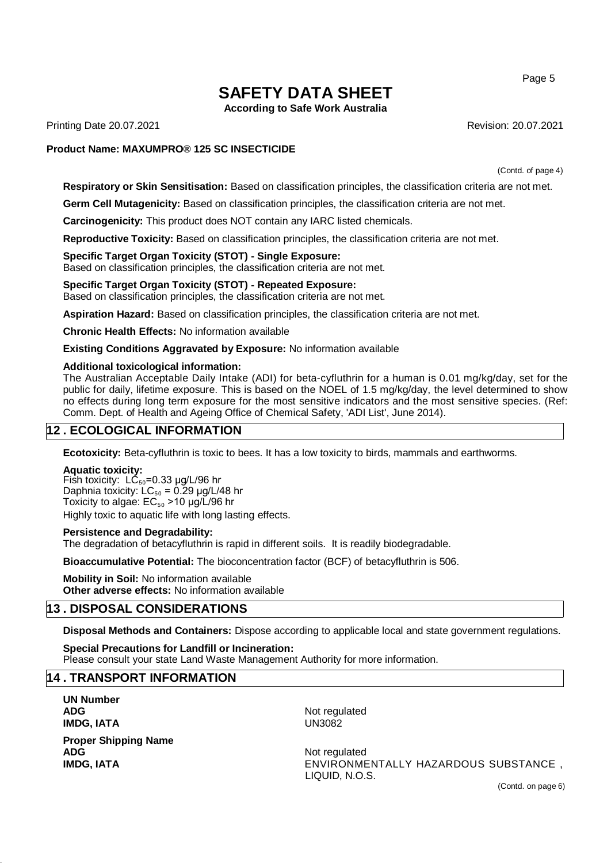**According to Safe Work Australia**

Printing Date 20.07.2021 **Revision: 20.07.2021** Revision: 20.07.2021

#### **Product Name: MAXUMPRO® 125 SC INSECTICIDE**

(Contd. of page 4)

**Respiratory or Skin Sensitisation:** Based on classification principles, the classification criteria are not met.

**Germ Cell Mutagenicity:** Based on classification principles, the classification criteria are not met.

**Carcinogenicity:** This product does NOT contain any IARC listed chemicals.

**Reproductive Toxicity:** Based on classification principles, the classification criteria are not met.

**Specific Target Organ Toxicity (STOT) - Single Exposure:** Based on classification principles, the classification criteria are not met.

#### **Specific Target Organ Toxicity (STOT) - Repeated Exposure:** Based on classification principles, the classification criteria are not met.

**Aspiration Hazard:** Based on classification principles, the classification criteria are not met.

**Chronic Health Effects:** No information available

**Existing Conditions Aggravated by Exposure:** No information available

#### **Additional toxicological information:**

The Australian Acceptable Daily Intake (ADI) for beta-cyfluthrin for a human is 0.01 mg/kg/day, set for the public for daily, lifetime exposure. This is based on the NOEL of 1.5 mg/kg/day, the level determined to show no effects during long term exposure for the most sensitive indicators and the most sensitive species. (Ref: Comm. Dept. of Health and Ageing Office of Chemical Safety, 'ADI List', June 2014).

## **12 . ECOLOGICAL INFORMATION**

**Ecotoxicity:** Beta-cyfluthrin is toxic to bees. It has a low toxicity to birds, mammals and earthworms.

#### **Aquatic toxicity:**

Fish toxicity:  $LC_{50}$ =0.33 µg/L/96 hr Daphnia toxicity:  $LC_{50} = 0.29$  µg/L/48 hr Toxicity to algae:  $EC_{50}$  > 10 µg/L/96 hr Highly toxic to aquatic life with long lasting effects.

#### **Persistence and Degradability:**

The degradation of betacyfluthrin is rapid in different soils. It is readily biodegradable.

**Bioaccumulative Potential:** The bioconcentration factor (BCF) of betacyfluthrin is 506.

**Mobility in Soil:** No information available **Other adverse effects:** No information available

## **13 . DISPOSAL CONSIDERATIONS**

**Disposal Methods and Containers:** Dispose according to applicable local and state government regulations.

**Special Precautions for Landfill or Incineration:** Please consult your state Land Waste Management Authority for more information.

## **14 . TRANSPORT INFORMATION**

**UN Number IMDG, IATA** UN3082

**Proper Shipping Name ADG** Not regulated

**ADG** Not regulated

**IMDG, IATA** ENVIRONMENTALLY HAZARDOUS SUBSTANCE , LIQUID, N.O.S.

(Contd. on page 6)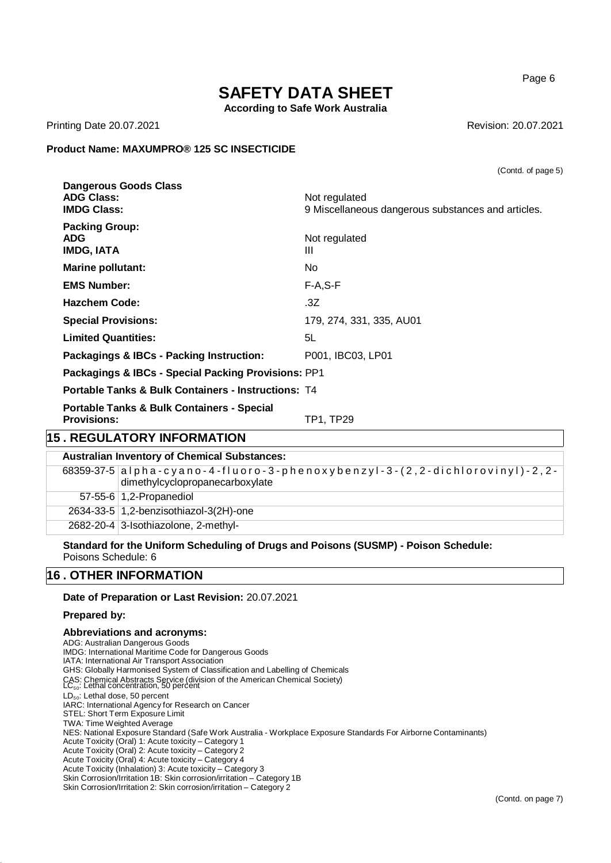Page 6

(Contd. of page 5)

# **SAFETY DATA SHEET**

**According to Safe Work Australia**

Printing Date 20.07.2021 **Revision: 20.07.2021** Revision: 20.07.2021

## **Product Name: MAXUMPRO® 125 SC INSECTICIDE**

| <b>Dangerous Goods Class</b><br><b>ADG Class:</b><br><b>IMDG Class:</b> | Not regulated<br>9 Miscellaneous dangerous substances and articles. |
|-------------------------------------------------------------------------|---------------------------------------------------------------------|
| <b>Packing Group:</b><br><b>ADG</b><br><b>IMDG, IATA</b>                | Not regulated<br>$\mathbf{III}$                                     |
| <b>Marine pollutant:</b>                                                | No.                                                                 |
| <b>EMS Number:</b>                                                      | $F-A, S-F$                                                          |
| <b>Hazchem Code:</b>                                                    | .3Z                                                                 |
| <b>Special Provisions:</b>                                              | 179, 274, 331, 335, AU01                                            |
| <b>Limited Quantities:</b>                                              | 5L                                                                  |

**Packagings & IBCs - Packing Instruction:** P001, IBC03, LP01

**Packagings & IBCs - Special Packing Provisions:** PP1

**Portable Tanks & Bulk Containers - Instructions:** T4

**Portable Tanks & Bulk Containers - Special Provisions:** TP1, TP29

## **15 . REGULATORY INFORMATION**

| <b>Australian Inventory of Chemical Substances:</b> |                                                                                                                 |  |  |
|-----------------------------------------------------|-----------------------------------------------------------------------------------------------------------------|--|--|
|                                                     | $68359-37-5$ alpha-cyano-4-fluoro-3-phenoxybenzyl-3-(2,2-dichlorovinyl)-2,2-<br>dimethylcyclopropanecarboxylate |  |  |
|                                                     | 57-55-6 $1,2$ -Propanediol                                                                                      |  |  |
|                                                     | 2634-33-5 1,2-benzisothiazol-3(2H)-one                                                                          |  |  |
|                                                     | 2682-20-4 3-Isothiazolone, 2-methyl-                                                                            |  |  |

**Standard for the Uniform Scheduling of Drugs and Poisons (SUSMP) - Poison Schedule:** Poisons Schedule: 6

## **16 . OTHER INFORMATION**

**Date of Preparation or Last Revision:** 20.07.2021

#### **Prepared by:**

#### **Abbreviations and acronyms:**

ADG: Australian Dangerous Goods IMDG: International Maritime Code for Dangerous Goods IATA: International Air Transport Association GHS: Globally Harmonised System of Classification and Labelling of Chemicals CAS: Chemical Abstracts Service (division of the American Chemical Society) LC<sub>50</sub>: Lethal concentration, 50 percent LD<sub>50</sub>: Lethal dose, 50 percent IARC: International Agency for Research on Cancer STEL: Short Term Exposure Limit TWA: Time Weighted Average NES: National Exposure Standard (Safe Work Australia - Workplace Exposure Standards For Airborne Contaminants) Acute Toxicity (Oral) 1: Acute toxicity – Category 1 Acute Toxicity (Oral) 2: Acute toxicity – Category 2 Acute Toxicity (Oral) 4: Acute toxicity – Category 4 Acute Toxicity (Inhalation) 3: Acute toxicity – Category 3 Skin Corrosion/Irritation 1B: Skin corrosion/irritation – Category 1B Skin Corrosion/Irritation 2: Skin corrosion/irritation – Category 2